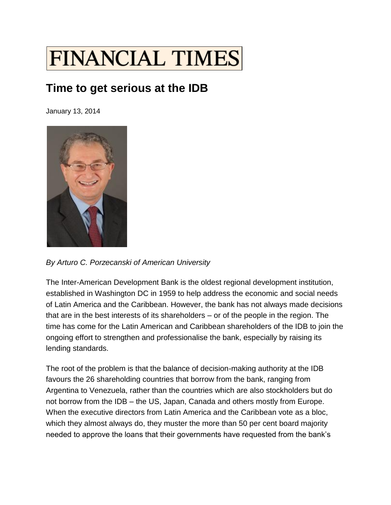

## **Time to get serious at the IDB**

January 13, 2014



*By Arturo C. Porzecanski of American University*

The Inter-American Development Bank is the oldest regional development institution, established in Washington DC in 1959 to help address the economic and social needs of Latin America and the Caribbean. However, the bank has not always made decisions that are in the best interests of its shareholders – or of the people in the region. The time has come for the Latin American and Caribbean shareholders of the IDB to join the ongoing effort to strengthen and professionalise the bank, especially by raising its lending standards.

The root of the problem is that the balance of decision-making authority at the IDB favours the 26 shareholding countries that borrow from the bank, ranging from Argentina to Venezuela, rather than the countries which are also stockholders but do not borrow from the IDB – the US, Japan, Canada and others mostly from Europe. When the executive directors from Latin America and the Caribbean vote as a bloc, which they almost always do, they muster the more than 50 per cent board majority needed to approve the loans that their governments have requested from the bank's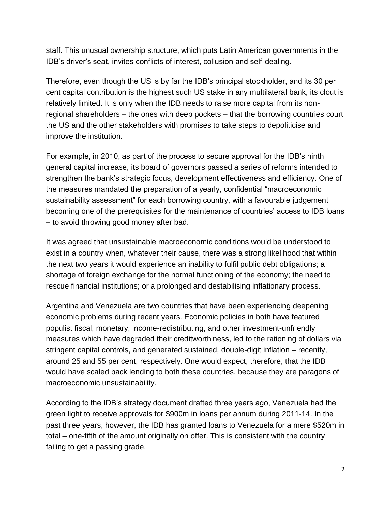staff. This unusual ownership structure, which puts Latin American governments in the IDB's driver's seat, invites conflicts of interest, collusion and self-dealing.

Therefore, even though the US is by far the IDB's principal stockholder, and its 30 per cent capital contribution is the highest such US stake in any multilateral bank, its clout is relatively limited. It is only when the IDB needs to raise more capital from its nonregional shareholders – the ones with deep pockets – that the borrowing countries court the US and the other stakeholders with promises to take steps to depoliticise and improve the institution.

For example, in 2010, as part of the process to secure approval for the IDB's ninth general capital increase, its board of governors passed a series of reforms intended to strengthen the bank's strategic focus, development effectiveness and efficiency. One of the measures mandated the preparation of a yearly, confidential "macroeconomic sustainability assessment" for each borrowing country, with a favourable judgement becoming one of the prerequisites for the maintenance of countries' access to IDB loans – to avoid throwing good money after bad.

It was agreed that unsustainable macroeconomic conditions would be understood to exist in a country when, whatever their cause, there was a strong likelihood that within the next two years it would experience an inability to fulfil public debt obligations; a shortage of foreign exchange for the normal functioning of the economy; the need to rescue financial institutions; or a prolonged and destabilising inflationary process.

Argentina and Venezuela are two countries that have been experiencing deepening economic problems during recent years. Economic policies in both have featured populist fiscal, monetary, income-redistributing, and other investment-unfriendly measures which have degraded their creditworthiness, led to the rationing of dollars via stringent capital controls, and generated sustained, double-digit inflation – recently, around 25 and 55 per cent, respectively. One would expect, therefore, that the IDB would have scaled back lending to both these countries, because they are paragons of macroeconomic unsustainability.

According to the IDB's strategy document drafted three years ago, Venezuela had the green light to receive approvals for \$900m in loans per annum during 2011-14. In the past three years, however, the IDB has granted loans to Venezuela for a mere \$520m in total – one-fifth of the amount originally on offer. This is consistent with the country failing to get a passing grade.